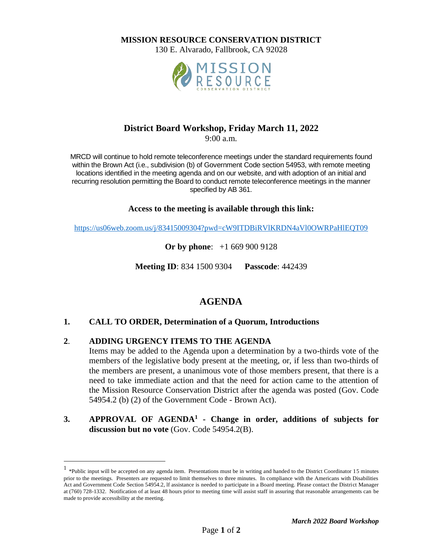**MISSION RESOURCE CONSERVATION DISTRICT**

130 E. Alvarado, Fallbrook, CA 92028



### **District Board Workshop, Friday March 11, 2022**

9:00 a.m.

MRCD will continue to hold remote teleconference meetings under the standard requirements found within the Brown Act (i.e., subdivision (b) of Government Code section 54953, with remote meeting locations identified in the meeting agenda and on our website, and with adoption of an initial and recurring resolution permitting the Board to conduct remote teleconference meetings in the manner specified by AB 361.

**Access to the meeting is available through this link:**

<https://us06web.zoom.us/j/83415009304?pwd=cW9ITDBiRVlKRDN4aVl0OWRPaHlEQT09>

**Or by phone**:+1 669 900 9128

**Meeting ID**: 834 1500 9304 **Passcode**: 442439

## **AGENDA**

### **1. CALL TO ORDER, Determination of a Quorum, Introductions**

#### **2**. **ADDING URGENCY ITEMS TO THE AGENDA**

Items may be added to the Agenda upon a determination by a two-thirds vote of the members of the legislative body present at the meeting, or, if less than two-thirds of the members are present, a unanimous vote of those members present, that there is a need to take immediate action and that the need for action came to the attention of the Mission Resource Conservation District after the agenda was posted (Gov. Code 54954.2 (b) (2) of the Government Code - Brown Act).

### **3. APPROVAL OF AGENDA<sup>1</sup> - Change in order, additions of subjects for discussion but no vote** (Gov. Code 54954.2(B).

<sup>&</sup>lt;sup>1</sup> \*Public input will be accepted on any agenda item. Presentations must be in writing and handed to the District Coordinator 15 minutes prior to the meetings. Presenters are requested to limit themselves to three minutes. In compliance with the Americans with Disabilities Act and Government Code Section 54954.2, lf assistance is needed to participate in a Board meeting. Please contact the District Manager at (760) 728-1332. Notification of at least 48 hours prior to meeting time will assist staff in assuring that reasonable arrangements can be made to provide accessibility at the meeting.